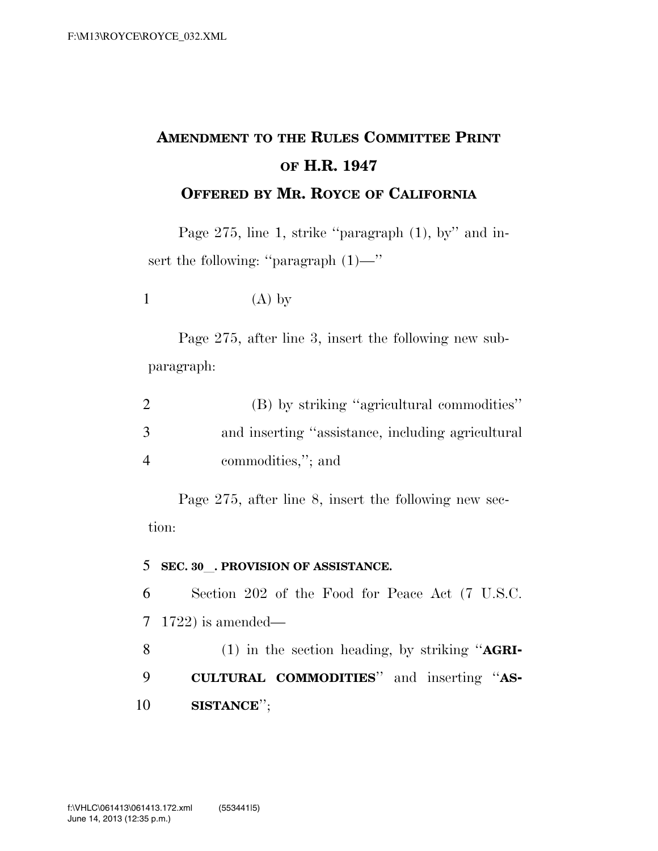## **AMENDMENT TO THE RULES COMMITTEE PRINT OF H.R. 1947 OFFERED BY MR. ROYCE OF CALIFORNIA**

Page 275, line 1, strike "paragraph (1), by" and insert the following: "paragraph  $(1)$ —"

1  $(A)$  by

Page 275, after line 3, insert the following new subparagraph:

|                | (B) by striking "agricultural commodities"        |
|----------------|---------------------------------------------------|
| 3              | and inserting "assistance, including agricultural |
| $\overline{4}$ | commodities,"; and                                |

Page 275, after line 8, insert the following new section:

## <sup>5</sup> **SEC. 30**l**. PROVISION OF ASSISTANCE.**

6 Section 202 of the Food for Peace Act (7 U.S.C. 7 1722) is amended—

8 (1) in the section heading, by striking ''**AGRI-**9 **CULTURAL COMMODITIES**'' and inserting ''**AS-**10 **SISTANCE**'';